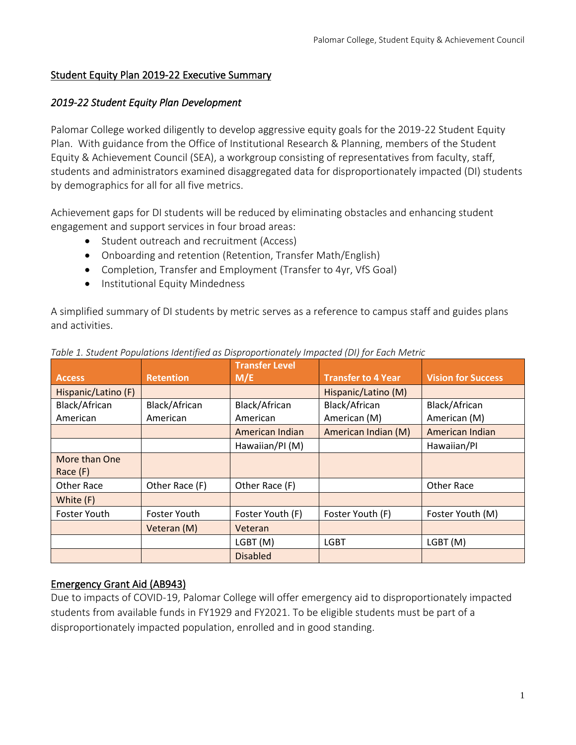### Student Equity Plan 2019-22 Executive Summary

### *2019-22 Student Equity Plan Development*

Palomar College worked diligently to develop aggressive equity goals for the 2019-22 Student Equity Plan. With guidance from the Office of Institutional Research & Planning, members of the Student Equity & Achievement Council (SEA), a workgroup consisting of representatives from faculty, staff, students and administrators examined disaggregated data for disproportionately impacted (DI) students by demographics for all for all five metrics.

Achievement gaps for DI students will be reduced by eliminating obstacles and enhancing student engagement and support services in four broad areas:

- Student outreach and recruitment (Access)
- Onboarding and retention (Retention, Transfer Math/English)
- Completion, Transfer and Employment (Transfer to 4yr, VfS Goal)
- Institutional Equity Mindedness

A simplified summary of DI students by metric serves as a reference to campus staff and guides plans and activities.

|                                   |                     | <b>Transfer Level</b> |                           |                           |
|-----------------------------------|---------------------|-----------------------|---------------------------|---------------------------|
| <b>Retention</b><br><b>Access</b> |                     | M/E                   | <b>Transfer to 4 Year</b> | <b>Vision for Success</b> |
| Hispanic/Latino (F)               |                     |                       | Hispanic/Latino (M)       |                           |
| Black/African                     | Black/African       | Black/African         | Black/African             | Black/African             |
| American                          | American            | American              | American (M)              | American (M)              |
|                                   |                     | American Indian       | American Indian (M)       | American Indian           |
|                                   |                     | Hawaiian/PI (M)       |                           | Hawaiian/PI               |
| More than One                     |                     |                       |                           |                           |
| Race (F)                          |                     |                       |                           |                           |
| <b>Other Race</b>                 | Other Race (F)      | Other Race (F)        |                           | Other Race                |
| White (F)                         |                     |                       |                           |                           |
| <b>Foster Youth</b>               | <b>Foster Youth</b> | Foster Youth (F)      | Foster Youth (F)          | Foster Youth (M)          |
|                                   | Veteran (M)         | Veteran               |                           |                           |
|                                   |                     | LGBT(M)               | <b>LGBT</b>               | LGBT (M)                  |
|                                   |                     | <b>Disabled</b>       |                           |                           |

*Table 1. Student Populations Identified as Disproportionately Impacted (DI) for Each Metric*

# Emergency Grant Aid (AB943)

Due to impacts of COVID-19, Palomar College will offer emergency aid to disproportionately impacted students from available funds in FY1929 and FY2021. To be eligible students must be part of a disproportionately impacted population, enrolled and in good standing.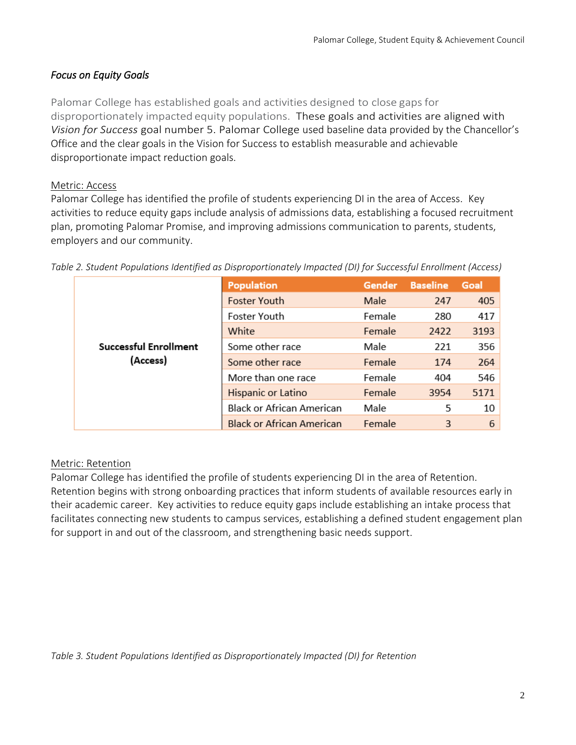# *Focus on Equity Goals*

Palomar College has established goals and activities designed to close gaps for disproportionately impacted equity populations. These goals and activities are aligned with *Vision for Success* goal number 5. Palomar College used baseline data provided by the Chancellor's Office and the clear goals in the Vision for Success to establish measurable and achievable disproportionate impact reduction goals.

### Metric: Access

Palomar College has identified the profile of students experiencing DI in the area of Access. Key activities to reduce equity gaps include analysis of admissions data, establishing a focused recruitment plan, promoting Palomar Promise, and improving admissions communication to parents, students, employers and our community.

|                              | <b>Population</b>                | <b>Gender</b> | <b>Baseline</b> | Goal |
|------------------------------|----------------------------------|---------------|-----------------|------|
|                              | <b>Foster Youth</b>              | Male          | 247             | 405  |
|                              | Foster Youth                     | Female        | 280             | 417  |
|                              | White                            | Female        | 2422            | 3193 |
| <b>Successful Enrollment</b> | Some other race                  | Male          | 221             | 356  |
| (Access)                     | Some other race                  | Female        | 174             | 264  |
|                              | More than one race               | Female        | 404             | 546  |
|                              | Hispanic or Latino               | Female        | 3954            | 5171 |
|                              | <b>Black or African American</b> | Male          | 5               | 10   |
|                              | <b>Black or African American</b> | Female        | 3               | 6    |

*Table 2. Student Populations Identified as Disproportionately Impacted (DI) for Successful Enrollment (Access)*

# Metric: Retention

Palomar College has identified the profile of students experiencing DI in the area of Retention. Retention begins with strong onboarding practices that inform students of available resources early in their academic career. Key activities to reduce equity gaps include establishing an intake process that facilitates connecting new students to campus services, establishing a defined student engagement plan for support in and out of the classroom, and strengthening basic needs support.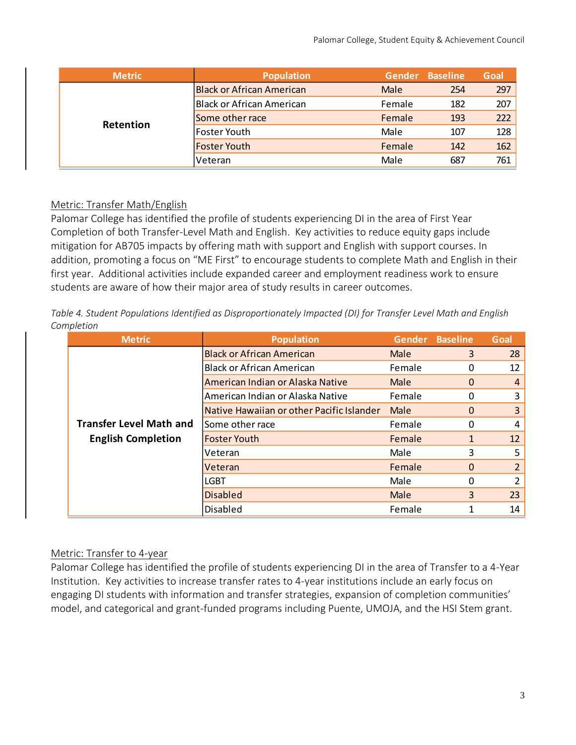|  | <b>Metric</b> | <b>Population</b>                |             | Gender Baseline | Goal |
|--|---------------|----------------------------------|-------------|-----------------|------|
|  |               | <b>Black or African American</b> | <b>Male</b> | 254             | 297  |
|  |               | Black or African American        | Female      | 182             | 207  |
|  | Retention     | Some other race                  | Female      | 193             | 222  |
|  |               | Foster Youth                     | Male        | 107             | 128  |
|  |               | <b>Foster Youth</b>              | Female      | 142             | 162  |
|  |               | l Veteran                        | Male        | 687             | 761  |

### Metric: Transfer Math/English

Palomar College has identified the profile of students experiencing DI in the area of First Year Completion of both Transfer-Level Math and English. Key activities to reduce equity gaps include mitigation for AB705 impacts by offering math with support and English with support courses. In addition, promoting a focus on "ME First" to encourage students to complete Math and English in their first year. Additional activities include expanded career and employment readiness work to ensure students are aware of how their major area of study results in career outcomes.

*Table 4. Student Populations Identified as Disproportionately Impacted (DI) for Transfer Level Math and English Completion*

| <b>Metric</b>                  | <b>Population</b>                         | <b>Gender</b> | <b>Baseline</b> | Goal              |
|--------------------------------|-------------------------------------------|---------------|-----------------|-------------------|
|                                | <b>Black or African American</b>          | Male          | 3               | 28                |
|                                | <b>Black or African American</b>          | Female        | 0               | 12                |
|                                | American Indian or Alaska Native          | Male          | 0               | 4                 |
|                                | American Indian or Alaska Native          | Female        | 0               | 3                 |
|                                | Native Hawaiian or other Pacific Islander | Male          | 0               | 3                 |
| <b>Transfer Level Math and</b> | Some other race                           | Female        | 0               | 4                 |
| <b>English Completion</b>      | <b>Foster Youth</b>                       | Female        |                 | $12 \overline{ }$ |
|                                | Veteran                                   | Male          | 3               | 5                 |
|                                | Veteran                                   | Female        | 0               | $\overline{2}$    |
|                                | LGBT                                      | Male          | 0               | $\mathcal{P}$     |
|                                | <b>Disabled</b>                           | Male          | 3               | 23                |
|                                | Disabled                                  | Female        |                 | 14                |

### Metric: Transfer to 4-year

Palomar College has identified the profile of students experiencing DI in the area of Transfer to a 4-Year Institution. Key activities to increase transfer rates to 4-year institutions include an early focus on engaging DI students with information and transfer strategies, expansion of completion communities' model, and categorical and grant-funded programs including Puente, UMOJA, and the HSI Stem grant.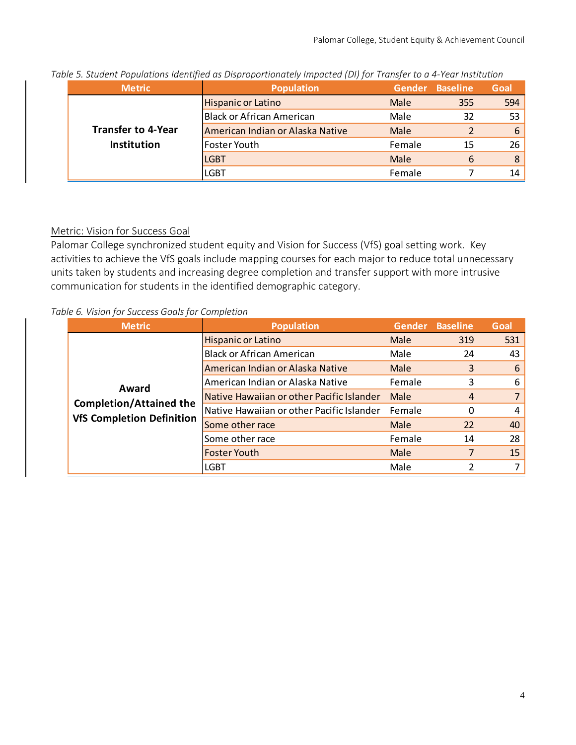| <b>Metric</b>             | <b>Population</b>                | Gender | <b>Baseline</b> | Goal |
|---------------------------|----------------------------------|--------|-----------------|------|
|                           | Hispanic or Latino               | Male   | 355             | 594  |
|                           | Black or African American        | Male   | 32              | 53   |
| <b>Transfer to 4-Year</b> | American Indian or Alaska Native | Male   |                 | 6    |
| Institution               | Foster Youth                     | Female | 15              | 26   |
|                           | <b>LGBT</b>                      | Male   | 6               | 8    |
|                           | LGBT                             | Female |                 | 14   |

*Table 5. Student Populations Identified as Disproportionately Impacted (DI) for Transfer to a 4-Year Institution*

### Metric: Vision for Success Goal

Palomar College synchronized student equity and Vision for Success (VfS) goal setting work. Key activities to achieve the VfS goals include mapping courses for each major to reduce total unnecessary units taken by students and increasing degree completion and transfer support with more intrusive communication for students in the identified demographic category.

#### *Table 6. Vision for Success Goals for Completion*

| <b>Metric</b>                    | <b>Population</b>                         | Gender | <b>Baseline</b> | Goal |
|----------------------------------|-------------------------------------------|--------|-----------------|------|
|                                  | <b>Hispanic or Latino</b>                 | Male   | 319             | 531  |
|                                  | <b>Black or African American</b>          | Male   | 24              | 43   |
|                                  | American Indian or Alaska Native          | Male   | 3               | 6    |
| Award                            | American Indian or Alaska Native          | Female | 3               | 6    |
|                                  | Native Hawaiian or other Pacific Islander | Male   | $\overline{4}$  |      |
| <b>Completion/Attained the</b>   | Native Hawaiian or other Pacific Islander | Female | 0               | 4    |
| <b>VfS Completion Definition</b> | Some other race                           | Male   | 22              | 40   |
|                                  | Some other race                           | Female | 14              | 28   |
|                                  | <b>Foster Youth</b>                       | Male   | 7               | 15   |
|                                  | <b>LGBT</b>                               | Male   | 2               | 7    |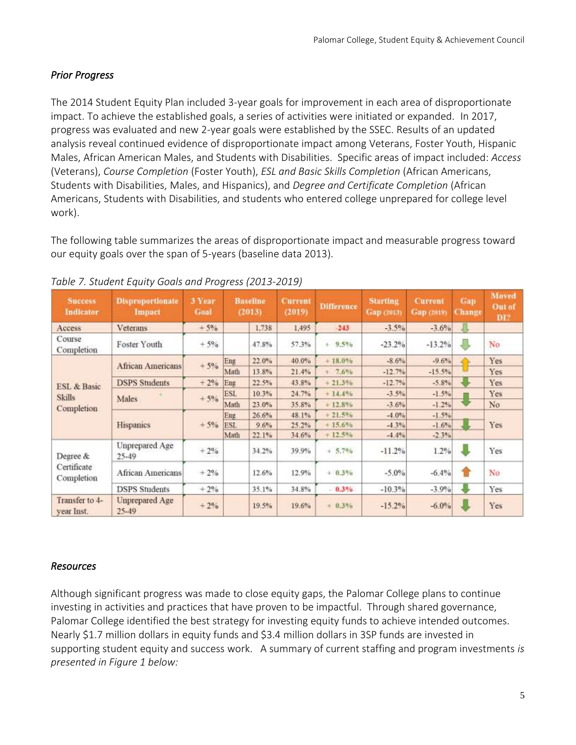# *Prior Progress*

The 2014 Student Equity Plan included 3-year goals for improvement in each area of disproportionate impact. To achieve the established goals, a series of activities were initiated or expanded. In 2017, progress was evaluated and new 2-year goals were established by the SSEC. Results of an updated analysis reveal continued evidence of disproportionate impact among Veterans, Foster Youth, Hispanic Males, African American Males, and Students with Disabilities. Specific areas of impact included: *Access* (Veterans), *Course Completion* (Foster Youth), *ESL and Basic Skills Completion* (African Americans, Students with Disabilities, Males, and Hispanics), and *Degree and Certificate Completion* (African Americans, Students with Disabilities, and students who entered college unprepared for college level work).

The following table summarizes the areas of disproportionate impact and measurable progress toward our equity goals over the span of 5-years (baseline data 2013).

| <b>Success</b><br>Indicator  | <b>Disproportionate</b><br>Impact | 3 Year<br>Goal |            | <b>Baseline</b><br>(2013) | Current<br>(2019) | <b>Difference</b> | <b>Starting</b><br>Gap (2013) | <b>Current</b><br>Gap (2019) | Gap<br><b>Change</b> | Moved<br><b>Out</b> of<br><b>DI?</b> |
|------------------------------|-----------------------------------|----------------|------------|---------------------------|-------------------|-------------------|-------------------------------|------------------------------|----------------------|--------------------------------------|
| Access                       | Veterans                          | $+5%$          |            | 1.738                     | 1.495             | $-243$            | $-3.5%$                       | $-3.6\%$                     | Д                    |                                      |
| Course<br>Completion         | Foster Youth                      | $+5%$          |            | 47.8%                     | 57.3%             | $+ 9.5%$          | $-23.2%$                      | $-13.2%$                     | J                    | No                                   |
|                              | <b>African Americans</b>          | $+5%$          | Eng        | 22.0%                     | 40.0%             | $+18.0%$          | $-8.6%$                       | $-9.6%$                      |                      | Yes                                  |
|                              |                                   |                | Math       | 13.8%                     | 21.4%             | $+ 7.6%$          | $-12.7%$                      | $-15.5%$                     |                      | Yes                                  |
| <b>ESL &amp; Basic</b>       | <b>DSPS</b> Students              | $+2%$          | Eng        | 22.5%                     | 43.8%             | $+21.3%$          | $-12.7%$                      | $-5.8%$                      |                      | Yes                                  |
| <b>Skills</b>                | <b>Males</b>                      | $+5%$          | <b>ESL</b> | 10.3%                     | 24.7%             | $+14.4%$          | $-3.5%$                       | $-1.5%$                      |                      | Yes                                  |
| Completion                   |                                   |                | Math       | 23.0%                     | 35.8%             | $+12.8%$          | $-3.6%$                       | $-1.2%$                      |                      | No                                   |
|                              | Hispanics                         |                | Eng        | 26.6%                     | 48.1%             | $+21.5%$          | $-4.0%$                       | $-1.5%$                      |                      |                                      |
|                              |                                   | $+5%$          | ESL        | 9.6%                      | 25.2%             | $+15.6%$          | $-4.3%$                       | $-1.6%$                      |                      | Yes                                  |
|                              |                                   |                | Math       | 22.1%                     | 34.6%             | $+12.5\%$         | $-4.4%$                       | $-2.3%$                      |                      |                                      |
| Degree &                     | Unprepared Age<br>$25 - 49$       | $+2%$          |            | 34.2%                     | 39.9%             | $+ 5.7%$          | $-11.2%$                      | 1.2%                         |                      | Yes                                  |
| Certificate<br>Completion    | African Americans                 | $+2%$          |            | 12.6%                     | 12.9%             | $+ 0.3\%$         | $-5.0\%$                      | $-6.4%$                      | Ħ                    | No                                   |
|                              | <b>DSPS</b> Students              | $+2%$          |            | 35.1%                     | 34.8%             | $-0.3%$           | $-10.3%$                      | $-3.9%$                      |                      | Yes                                  |
| Transfer to 4-<br>year Inst. | Unprepared Age<br>$25 - 49$       | $+2%$          |            | 19.5%                     | 19.6%             | $+ 0.3\%$         | $-15.2%$                      | $-6.0\%$                     |                      | Yes                                  |

### *Table 7. Student Equity Goals and Progress (2013-2019)*

### *Resources*

Although significant progress was made to close equity gaps, the Palomar College plans to continue investing in activities and practices that have proven to be impactful. Through shared governance, Palomar College identified the best strategy for investing equity funds to achieve intended outcomes. Nearly \$1.7 million dollars in equity funds and \$3.4 million dollars in 3SP funds are invested in supporting student equity and success work. A summary of current staffing and program investments *is presented in Figure 1 below:*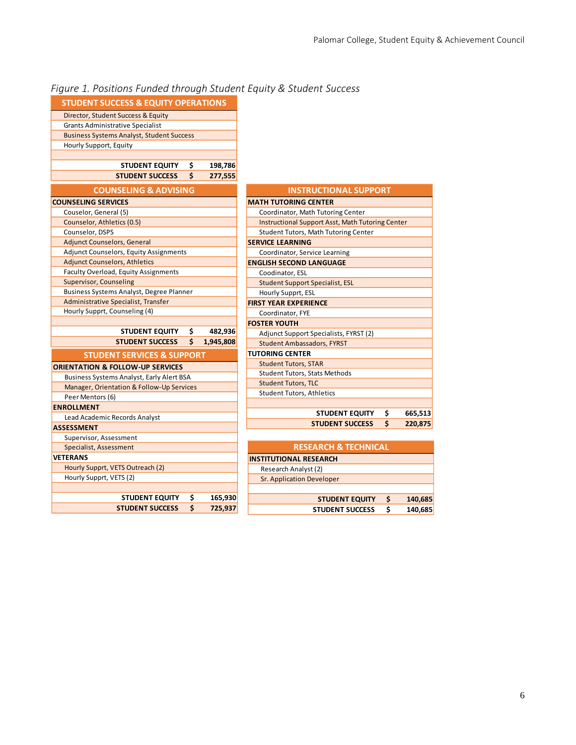| Figure 1. Positions Funded through Student Equity & Student Success |  |  |
|---------------------------------------------------------------------|--|--|
|---------------------------------------------------------------------|--|--|

| <b>STUDENT SUCCESS &amp; EQUITY OPERATIONS</b>     |    |           |
|----------------------------------------------------|----|-----------|
| Director, Student Success & Equity                 |    |           |
| <b>Grants Administrative Specialist</b>            |    |           |
| <b>Business Systems Analyst, Student Success</b>   |    |           |
| Hourly Support, Equity                             |    |           |
|                                                    |    |           |
| <b>STUDENT EQUITY</b>                              | \$ | 198,786   |
| <b>STUDENT SUCCESS</b>                             | Ś  | 277,555   |
| <b>COUNSELING &amp; ADVISING</b>                   |    |           |
| <b>COUNSELING SERVICES</b>                         |    |           |
| Couselor, General (5)                              |    |           |
| Counselor, Athletics (0.5)                         |    |           |
| Counselor, DSPS                                    |    |           |
| <b>Adjunct Counselors, General</b>                 |    |           |
| Adjunct Counselors, Equity Assignments             |    |           |
| <b>Adjunct Counselors, Athletics</b>               |    |           |
| Faculty Overload, Equity Assignments               |    |           |
| <b>Supervisor, Counseling</b>                      |    |           |
| Business Systems Analyst, Degree Planner           |    |           |
| Administrative Specialist, Transfer                |    |           |
| Hourly Supprt, Counseling (4)                      |    |           |
|                                                    |    |           |
|                                                    |    |           |
| <b>STUDENT EQUITY</b>                              | \$ | 482,936   |
| <b>STUDENT SUCCESS</b>                             | Ś  | 1,945,808 |
| <b>STUDENT SERVICES &amp; SUPPORT</b>              |    |           |
|                                                    |    |           |
| <b>ORIENTATION &amp; FOLLOW-UP SERVICES</b>        |    |           |
| <b>Business Systems Analyst, Early Alert BSA</b>   |    |           |
| Manager, Orientation & Follow-Up Services          |    |           |
| Peer Mentors (6)                                   |    |           |
| <b>ENROLLMENT</b>                                  |    |           |
| Lead Academic Records Analyst<br><b>ASSESSMENT</b> |    |           |
|                                                    |    |           |
| Supervisor, Assessment                             |    |           |
| Specialist, Assessment<br>VETERANS                 |    |           |
|                                                    |    |           |
| Hourly Supprt, VETS Outreach (2)                   |    |           |
| Hourly Supprt, VETS (2)                            |    |           |
| <b>STUDENT EQUITY</b>                              | Ş  | 165,930   |

| <b>INSTRUCTIONAL SUPPORT</b>                            |
|---------------------------------------------------------|
| <b>MATH TUTORING CENTER</b>                             |
| Coordinator, Math Tutoring Center                       |
| <b>Instructional Support Asst, Math Tutoring Center</b> |
| Student Tutors, Math Tutoring Center                    |
| <b>SERVICE LEARNING</b>                                 |
| Coordinator, Service Learning                           |
| <b>ENGLISH SECOND LANGUAGE</b>                          |
| Coodinator, ESL                                         |
| <b>Student Support Specialist, ESL</b>                  |
| Hourly Supprt, ESL                                      |
| <b>FIRST YEAR EXPERIENCE</b>                            |
| Coordinator, FYE                                        |
| <b>FOSTER YOUTH</b>                                     |
| Adjunct Support Specialists, FYRST (2)                  |
| <b>Student Ambassadors, FYRST</b>                       |
| <b>TUTORING CENTER</b>                                  |
| <b>Student Tutors, STAR</b>                             |
| <b>Student Tutors, Stats Methods</b>                    |
| <b>Student Tutors, TLC</b>                              |
| <b>Student Tutors, Athletics</b>                        |
|                                                         |
| \$<br><b>STUDENT EQUITY</b><br>665,513                  |
| Ś<br><b>STUDENT SUCCESS</b><br>220,875                  |
|                                                         |
| <b>RESEARCH &amp; TECHNICAL</b>                         |

| Ś | 140,685 |
|---|---------|
| Ś | 140,685 |
|   |         |